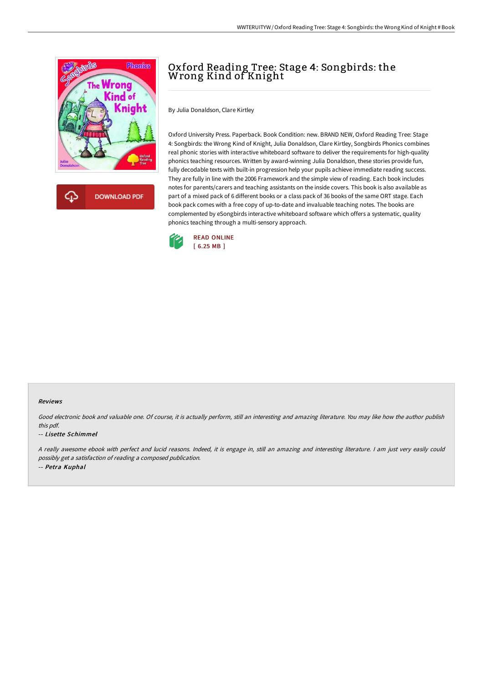

**DOWNLOAD PDF** 

# Oxford Reading Tree: Stage 4: Songbirds: the Wrong Kind of Knight

By Julia Donaldson, Clare Kirtley

Oxford University Press. Paperback. Book Condition: new. BRAND NEW, Oxford Reading Tree: Stage 4: Songbirds: the Wrong Kind of Knight, Julia Donaldson, Clare Kirtley, Songbirds Phonics combines real phonic stories with interactive whiteboard software to deliver the requirements for high-quality phonics teaching resources. Written by award-winning Julia Donaldson, these stories provide fun, fully decodable texts with built-in progression help your pupils achieve immediate reading success. They are fully in line with the 2006 Framework and the simple view of reading. Each book includes notes for parents/carers and teaching assistants on the inside covers. This book is also available as part of a mixed pack of 6 different books or a class pack of 36 books of the same ORT stage. Each book pack comes with a free copy of up-to-date and invaluable teaching notes. The books are complemented by eSongbirds interactive whiteboard software which offers a systematic, quality phonics teaching through a multi-sensory approach.



### Reviews

Good electronic book and valuable one. Of course, it is actually perform, still an interesting and amazing literature. You may like how the author publish this pdf.

#### -- Lisette Schimmel

<sup>A</sup> really awesome ebook with perfect and lucid reasons. Indeed, it is engage in, still an amazing and interesting literature. <sup>I</sup> am just very easily could possibly get <sup>a</sup> satisfaction of reading <sup>a</sup> composed publication. -- Petra Kuphal